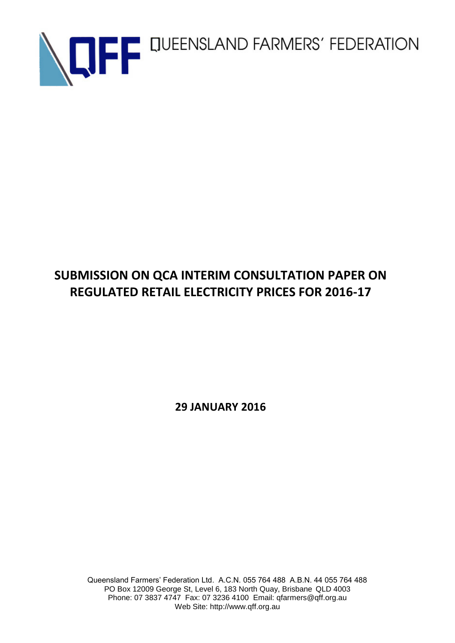

## **SUBMISSION ON QCA INTERIM CONSULTATION PAPER ON REGULATED RETAIL ELECTRICITY PRICES FOR 2016-17**

**29 JANUARY 2016**

Queensland Farmers' Federation Ltd. A.C.N. 055 764 488 A.B.N. 44 055 764 488 PO Box 12009 George St, Level 6, 183 North Quay, Brisbane QLD 4003 Phone: 07 3837 4747 Fax: 07 3236 4100 Email: qfarmers@qff.org.au Web Site: http://www.qff.org.au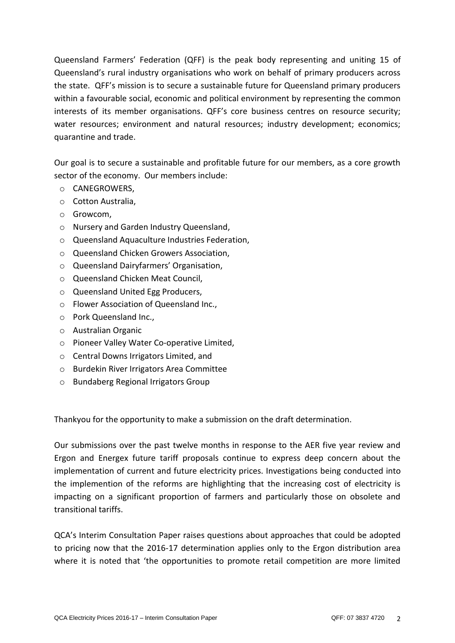Queensland Farmers' Federation (QFF) is the peak body representing and uniting 15 of Queensland's rural industry organisations who work on behalf of primary producers across the state. QFF's mission is to secure a sustainable future for Queensland primary producers within a favourable social, economic and political environment by representing the common interests of its member organisations. QFF's core business centres on resource security; water resources; environment and natural resources; industry development; economics; quarantine and trade.

Our goal is to secure a sustainable and profitable future for our members, as a core growth sector of the economy. Our members include:

- o CANEGROWERS,
- o Cotton Australia,
- o Growcom,
- o Nursery and Garden Industry Queensland,
- o Queensland Aquaculture Industries Federation,
- o Queensland Chicken Growers Association,
- o Queensland Dairyfarmers' Organisation,
- o Queensland Chicken Meat Council,
- o Queensland United Egg Producers,
- o Flower Association of Queensland Inc.,
- o Pork Queensland Inc.,
- o Australian Organic
- o Pioneer Valley Water Co-operative Limited,
- o Central Downs Irrigators Limited, and
- o Burdekin River Irrigators Area Committee
- o Bundaberg Regional Irrigators Group

Thankyou for the opportunity to make a submission on the draft determination.

Our submissions over the past twelve months in response to the AER five year review and Ergon and Energex future tariff proposals continue to express deep concern about the implementation of current and future electricity prices. Investigations being conducted into the implemention of the reforms are highlighting that the increasing cost of electricity is impacting on a significant proportion of farmers and particularly those on obsolete and transitional tariffs.

QCA's Interim Consultation Paper raises questions about approaches that could be adopted to pricing now that the 2016-17 determination applies only to the Ergon distribution area where it is noted that 'the opportunities to promote retail competition are more limited